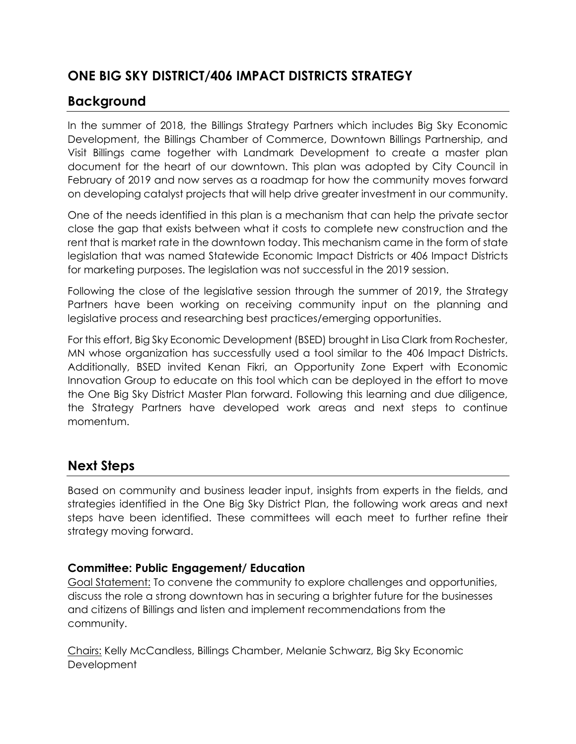# **ONE BIG SKY DISTRICT/406 IMPACT DISTRICTS STRATEGY**

## **Background**

In the summer of 2018, the Billings Strategy Partners which includes Big Sky Economic Development, the Billings Chamber of Commerce, Downtown Billings Partnership, and Visit Billings came together with Landmark Development to create a master plan document for the heart of our downtown. This plan was adopted by City Council in February of 2019 and now serves as a roadmap for how the community moves forward on developing catalyst projects that will help drive greater investment in our community.

One of the needs identified in this plan is a mechanism that can help the private sector close the gap that exists between what it costs to complete new construction and the rent that is market rate in the downtown today. This mechanism came in the form of state legislation that was named Statewide Economic Impact Districts or 406 Impact Districts for marketing purposes. The legislation was not successful in the 2019 session.

Following the close of the legislative session through the summer of 2019, the Strategy Partners have been working on receiving community input on the planning and legislative process and researching best practices/emerging opportunities.

For this effort, Big Sky Economic Development (BSED) brought in Lisa Clark from Rochester, MN whose organization has successfully used a tool similar to the 406 Impact Districts. Additionally, BSED invited Kenan Fikri, an Opportunity Zone Expert with Economic Innovation Group to educate on this tool which can be deployed in the effort to move the One Big Sky District Master Plan forward. Following this learning and due diligence, the Strategy Partners have developed work areas and next steps to continue momentum.

## **Next Steps**

Based on community and business leader input, insights from experts in the fields, and strategies identified in the One Big Sky District Plan, the following work areas and next steps have been identified. These committees will each meet to further refine their strategy moving forward.

#### **Committee: Public Engagement/ Education**

Goal Statement: To convene the community to explore challenges and opportunities, discuss the role a strong downtown has in securing a brighter future for the businesses and citizens of Billings and listen and implement recommendations from the community.

Chairs: Kelly McCandless, Billings Chamber, Melanie Schwarz, Big Sky Economic **Development**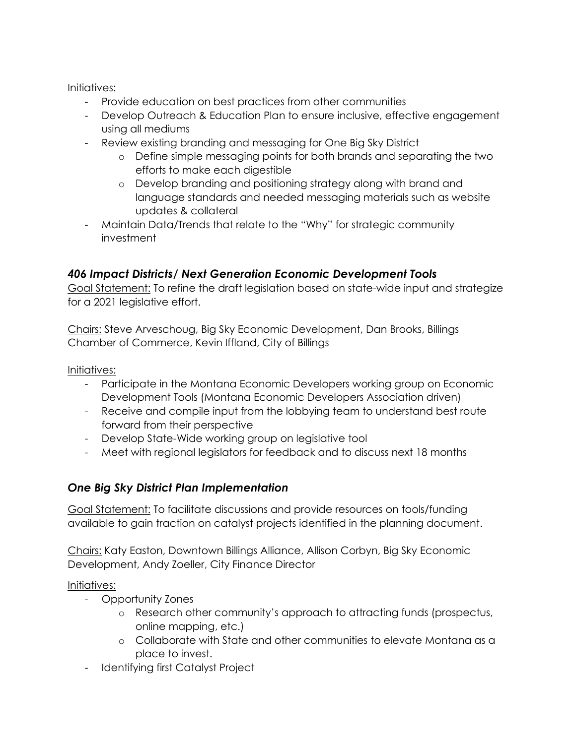Initiatives:

- Provide education on best practices from other communities
- Develop Outreach & Education Plan to ensure inclusive, effective engagement using all mediums
- Review existing branding and messaging for One Big Sky District
	- o Define simple messaging points for both brands and separating the two efforts to make each digestible
	- o Develop branding and positioning strategy along with brand and language standards and needed messaging materials such as website updates & collateral
- Maintain Data/Trends that relate to the "Why" for strategic community investment

### *406 Impact Districts/ Next Generation Economic Development Tools*

Goal Statement: To refine the draft legislation based on state-wide input and strategize for a 2021 legislative effort.

Chairs: Steve Arveschoug, Big Sky Economic Development, Dan Brooks, Billings Chamber of Commerce, Kevin Iffland, City of Billings

Initiatives:

- Participate in the Montana Economic Developers working group on Economic Development Tools (Montana Economic Developers Association driven)
- Receive and compile input from the lobbying team to understand best route forward from their perspective
- Develop State-Wide working group on legislative tool
- Meet with regional legislators for feedback and to discuss next 18 months

### *One Big Sky District Plan Implementation*

Goal Statement: To facilitate discussions and provide resources on tools/funding available to gain traction on catalyst projects identified in the planning document.

Chairs: Katy Easton, Downtown Billings Alliance, Allison Corbyn, Big Sky Economic Development, Andy Zoeller, City Finance Director

#### Initiatives:

- Opportunity Zones
	- o Research other community's approach to attracting funds (prospectus, online mapping, etc.)
	- o Collaborate with State and other communities to elevate Montana as a place to invest.
- Identifying first Catalyst Project